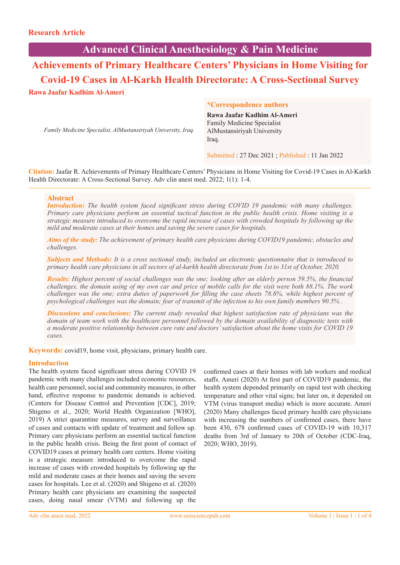# **Advanced Clinical Anesthesiology & Pain Medicine**

**Achievements of Primary Healthcare Centers' Physicians in Home Visiting for Covid-19 Cases in Al-Karkh Health Directorate: A Cross-Sectional Survey Rawa Jaafar Kadhim Al-Ameri**

*Family Medicine Specialist, AlMustansiriyah University, Iraq.*

#### **\*Correspondence authors**

**Rawa Jaafar Kadhim Al-Ameri** Family Medicine Specialist AlMustansiriyah University Iraq.

Submitted : 27 Dec 2021 ; Published : 11 Jan 2022

**Citation:** Jaafar R. Achievements of Primary Healthcare Centers' Physicians in Home Visiting for Covid-19 Cases in Al-Karkh Health Directorate: A Cross-Sectional Survey. Adv clin anest med. 2022; 1(1): 1-4.

#### **Abstract**

*Introduction: The health system faced significant stress during COVID 19 pandemic with many challenges. Primary care physicians perform an essential tactical function in the public health crisis. Home visiting is a strategic measure introduced to overcome the rapid increase of cases with crowded hospitals by following up the mild and moderate cases at their homes and saving the severe cases for hospitals.* 

*Aims of the study: The achievement of primary health care physicians during COVID19 pandemic, obstacles and challenges.* 

*Subjects and Methods: It is a cross sectional study, included an electronic questionnaire that is introduced to primary health care physicians in all sectors of al-karkh health directorate from 1st to 31st of October, 2020.* 

*Results: Highest percent of social challenges was the one; looking after an elderly person 59.5%, the financial challenges, the domain using of my own car and price of mobile calls for the visit were both 88.1%. The work challenges was the one; extra duties of paperwork for filling the case sheets 78.6%, while highest percent of psychological challenges was the domain; fear of transmit of the infection to his own family members 90.5% .* 

*Discussions and conclusions: The current study revealed that highest satisfaction rate of physicians was the domain of team work with the healthcare personnel followed by the domain availability of diagnostic tests with a moderate positive relationship between cure rate and doctors' satisfaction about the home visits for COVID 19 cases.*

**Keywords:** covid19, home visit, physicians, primary health care.

#### **Introduction**

The health system faced significant stress during COVID 19 pandemic with many challenges included economic resources, health care personnel, social and community measures, in other hand, effective response to pandemic demands is achieved. (Centers for Disease Control and Prevention [CDC], 2019; Shigeno et al., 2020; World Health Organization [WHO], 2019) A strict quarantine measures, survey and surveillance of cases and contacts with update of treatment and follow up. Primary care physicians perform an essential tactical function in the public health crisis. Being the first point of contact of COVID19 cases at primary health care centers. Home visiting is a strategic measure introduced to overcome the rapid increase of cases with crowded hospitals by following up the mild and moderate cases at their homes and saving the severe cases for hospitals. Lee et al. (2020) and Shigeno et al. (2020) Primary health care physicians are examining the suspected cases, doing nasal smear (VTM) and following up the

confirmed cases at their homes with lab workers and medical staffs. Ameri (2020) At first part of COVID19 pandemic, the health system depended primarily on rapid test with checking temperature and other vital signs; but later on, it depended on VTM (virus transport media) which is more accurate. Ameri (2020) Many challenges faced primary health care physicians with increasing the numbers of confirmed cases, there have been 430, 678 confirmed cases of COVID-19 with 10,317 deaths from 3rd of January to 20th of October (CDC-Iraq, 2020; WHO, 2019).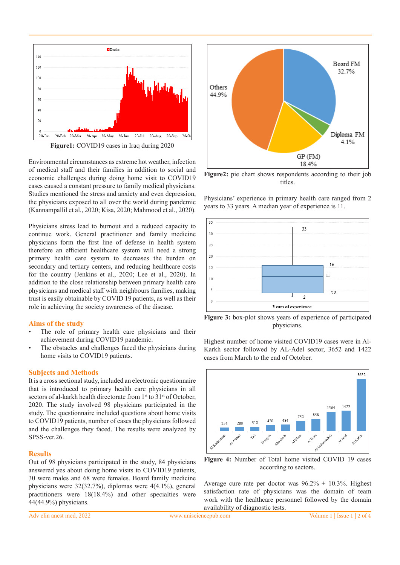

**Figure1:** COVID19 cases in Iraq during 2020

Environmental circumstances as extreme hot weather, infection of medical staff and their families in addition to social and economic challenges during doing home visit to COVID19 cases caused a constant pressure to family medical physicians. Studies mentioned the stress and anxiety and even depression, the physicians exposed to all over the world during pandemic (Kannampallil et al., 2020; Kisa, 2020; Mahmood et al., 2020).

Physicians stress lead to burnout and a reduced capacity to continue work. General practitioner and family medicine physicians form the first line of defense in health system therefore an efficient healthcare system will need a strong primary health care system to decreases the burden on secondary and tertiary centers, and reducing healthcare costs for the country (Jenkins et al., 2020; Lee et al., 2020). In addition to the close relationship between primary health care physicians and medical staff with neighbours families, making trust is easily obtainable by COVID 19 patients, as well as their role in achieving the society awareness of the disease.

#### **Aims of the study**

- The role of primary health care physicians and their achievement during COVID19 pandemic.
- The obstacles and challenges faced the physicians during home visits to COVID19 patients.

#### **Subjects and Methods**

It is a cross sectional study, included an electronic questionnaire that is introduced to primary health care physicians in all sectors of al-karkh health directorate from 1<sup>st</sup> to 31<sup>st</sup> of October, 2020. The study involved 98 physicians participated in the study. The questionnaire included questions about home visits to COVID19 patients, number of cases the physicians followed and the challenges they faced. The results were analyzed by SPSS-ver.26.

#### **Results**

Out of 98 physicians participated in the study, 84 physicians answered yes about doing home visits to COVID19 patients, 30 were males and 68 were females. Board family medicine physicians were 32(32.7%), diplomas were 4(4.1%), general practitioners were 18(18.4%) and other specialties were 44(44.9%) physicians.



**Figure2:** pie chart shows respondents according to their job titles.

Physicians' experience in primary health care ranged from 2 years to 33 years. A median year of experience is 11.



**Figure 3:** box-plot shows years of experience of participated physicians.

Highest number of home visited COVID19 cases were in Al-Karkh sector followed by AL-Adel sector, 3652 and 1422 cases from March to the end of October.



**Figure 4:** Number of Total home visited COVID 19 cases according to sectors.

Average cure rate per doctor was  $96.2\% \pm 10.3\%$ . Highest satisfaction rate of physicians was the domain of team work with the healthcare personnel followed by the domain availability of diagnostic tests.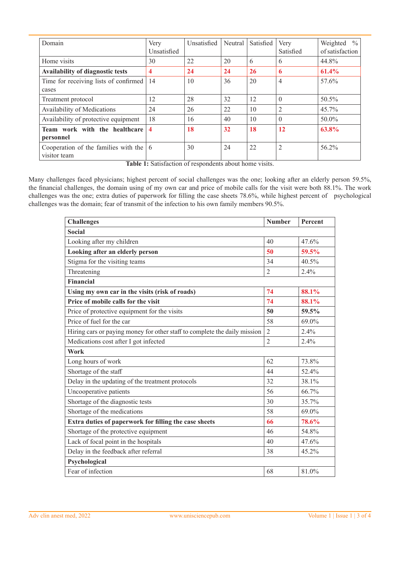| Domain                                               | Very<br>Unsatisfied | Unsatisfied | Neutral | Satisfied | Very<br>Satisfied | Weighted $\%$<br>of satisfaction |
|------------------------------------------------------|---------------------|-------------|---------|-----------|-------------------|----------------------------------|
| Home visits                                          | 30                  | 22          | 20      | 6         | 6                 | 44.8%                            |
| Availability of diagnostic tests                     | 4                   | 24          | 24      | 26        | 6                 | 61.4%                            |
| Time for receiving lists of confirmed                | 14                  | 10          | 36      | 20        | $\overline{4}$    | 57.6%                            |
| cases                                                |                     |             |         |           |                   |                                  |
| Treatment protocol                                   | 12                  | 28          | 32      | 12        | $\theta$          | 50.5%                            |
| Availability of Medications                          | 24                  | 26          | 22      | 10        | 2                 | 45.7%                            |
| Availability of protective equipment                 | 18                  | 16          | 40      | 10        | $\theta$          | 50.0%                            |
| Team work with the healthcare<br>personnel           | 4                   | 18          | 32      | 18        | 12                | 63.8%                            |
| Cooperation of the families with the<br>visitor team | -6                  | 30          | 24      | 22        | $\overline{2}$    | 56.2%                            |

**Table 1:** Satisfaction of respondents about home visits.

Many challenges faced physicians; highest percent of social challenges was the one; looking after an elderly person 59.5%, the financial challenges, the domain using of my own car and price of mobile calls for the visit were both 88.1%. The work challenges was the one; extra duties of paperwork for filling the case sheets 78.6%, while highest percent of psychological challenges was the domain; fear of transmit of the infection to his own family members 90.5%.

| <b>Challenges</b>                                                         | <b>Number</b>  | Percent |
|---------------------------------------------------------------------------|----------------|---------|
| <b>Social</b>                                                             |                |         |
| Looking after my children                                                 | 40             | 47.6%   |
| Looking after an elderly person                                           |                | 59.5%   |
| Stigma for the visiting teams                                             | 34             | 40.5%   |
| Threatening                                                               | $\overline{2}$ | 2.4%    |
| Financial                                                                 |                |         |
| Using my own car in the visits (risk of roads)                            | 74             | 88.1%   |
| Price of mobile calls for the visit                                       | 74             | 88.1%   |
| Price of protective equipment for the visits                              | 50             | 59.5%   |
| Price of fuel for the car                                                 | 58             | 69.0%   |
| Hiring cars or paying money for other staff to complete the daily mission | $\overline{2}$ | 2.4%    |
| Medications cost after I got infected                                     | $\overline{2}$ | 2.4%    |
| Work                                                                      |                |         |
| Long hours of work                                                        | 62             | 73.8%   |
| Shortage of the staff                                                     | 44             | 52.4%   |
| Delay in the updating of the treatment protocols                          | 32             | 38.1%   |
| Uncooperative patients                                                    | 56             | 66.7%   |
| Shortage of the diagnostic tests                                          | 30             | 35.7%   |
| Shortage of the medications                                               | 58             | 69.0%   |
| Extra duties of paperwork for filling the case sheets                     | 66             | 78.6%   |
| Shortage of the protective equipment                                      | 46             | 54.8%   |
| Lack of focal point in the hospitals                                      | 40             | 47.6%   |
| Delay in the feedback after referral                                      | 38             | 45.2%   |
| Psychological                                                             |                |         |
| Fear of infection                                                         | 68             | 81.0%   |